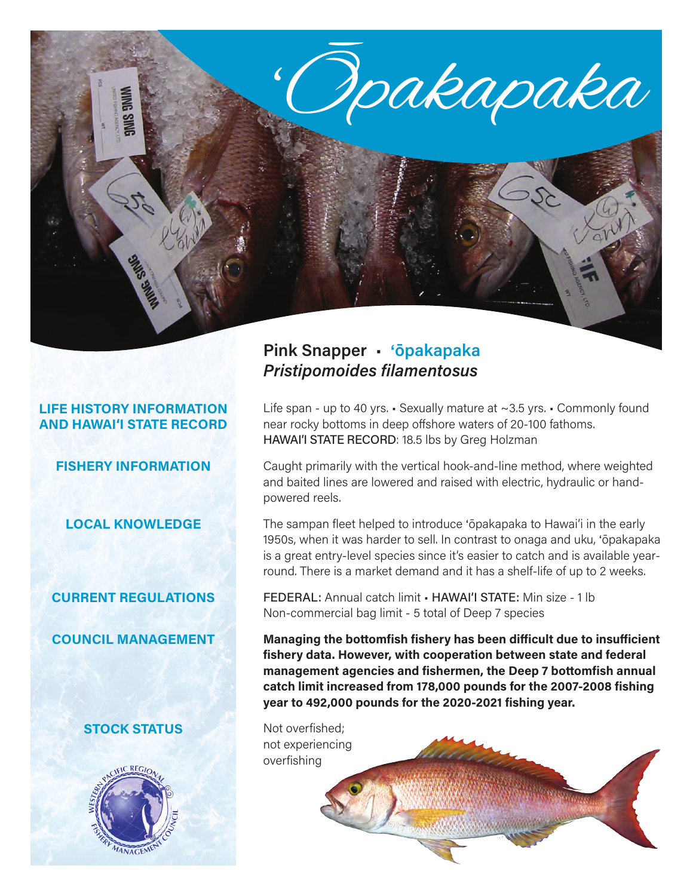

## **LIFE HISTORY INFORMATION AND HAWAI'I STATE RECORD**

**FISHERY INFORMATION**

**LOCAL KNOWLEDGE**

### **CURRENT REGULATIONS**

**COUNCIL MANAGEMENT**

# **STOCK STATUS**



# **Pink Snapper** • '**ōpakapaka** *Pristipomoides filamentosus*

Life span - up to 40 yrs. • Sexually mature at ~3.5 yrs. • Commonly found near rocky bottoms in deep offshore waters of 20-100 fathoms. HAWAI'I STATE RECORD: 18.5 lbs by Greg Holzman

Caught primarily with the vertical hook-and-line method, where weighted and baited lines are lowered and raised with electric, hydraulic or handpowered reels.

The sampan fleet helped to introduce 'ōpakapaka to Hawai'i in the early 1950s, when it was harder to sell. In contrast to onaga and uku, 'ōpakapaka is a great entry-level species since it's easier to catch and is available yearround. There is a market demand and it has a shelf-life of up to 2 weeks.

FEDERAL: Annual catch limit • HAWAI'I STATE: Min size - 1 lb Non-commercial bag limit - 5 total of Deep 7 species

**Managing the bottomfish fishery has been difficult due to insufficient fishery data. However, with cooperation between state and federal management agencies and fishermen, the Deep 7 bottomfish annual catch limit increased from 178,000 pounds for the 2007-2008 fishing year to 492,000 pounds for the 2020-2021 fishing year.**

Not overfished; not experiencing overfishing